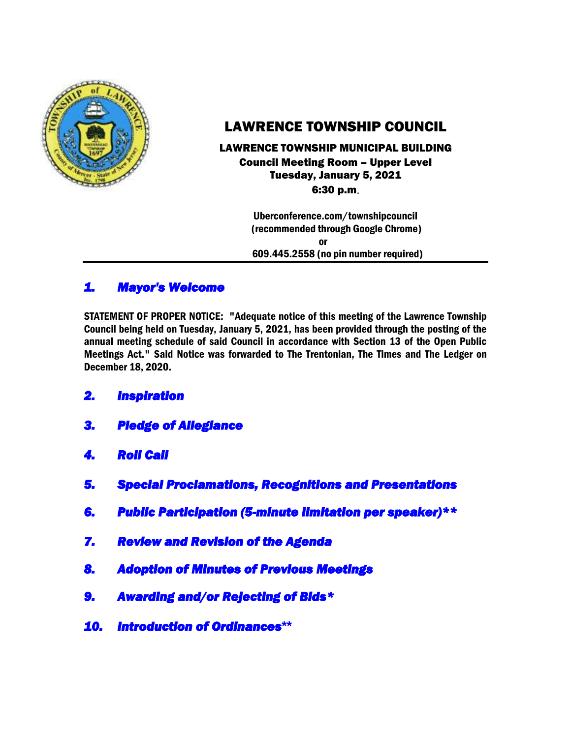

# LAWRENCE TOWNSHIP COUNCIL

### LAWRENCE TOWNSHIP MUNICIPAL BUILDING Council Meeting Room – Upper Level Tuesday, January 5, 2021 6:30 p.m.

 Uberconference.com/townshipcouncil (recommended through Google Chrome) or 609.445.2558 (no pin number required)

# *1. Mayor's Welcome*

STATEMENT OF PROPER NOTICE: "Adequate notice of this meeting of the Lawrence Township Council being held on Tuesday, January 5, 2021, has been provided through the posting of the annual meeting schedule of said Council in accordance with Section 13 of the Open Public Meetings Act." Said Notice was forwarded to The Trentonian, The Times and The Ledger on December 18, 2020.

- *2. Inspiration*
- *3. Pledge of Allegiance*
- *4. Roll Call*
- *5. Special Proclamations, Recognitions and Presentations*
- *6. Public Participation (5-minute limitation per speaker)\*\**
- *7. Review and Revision of the Agenda*
- *8. Adoption of Minutes of Previous Meetings*
- *9. Awarding and/or Rejecting of Bids\**
- *10. Introduction of Ordinances***\*\***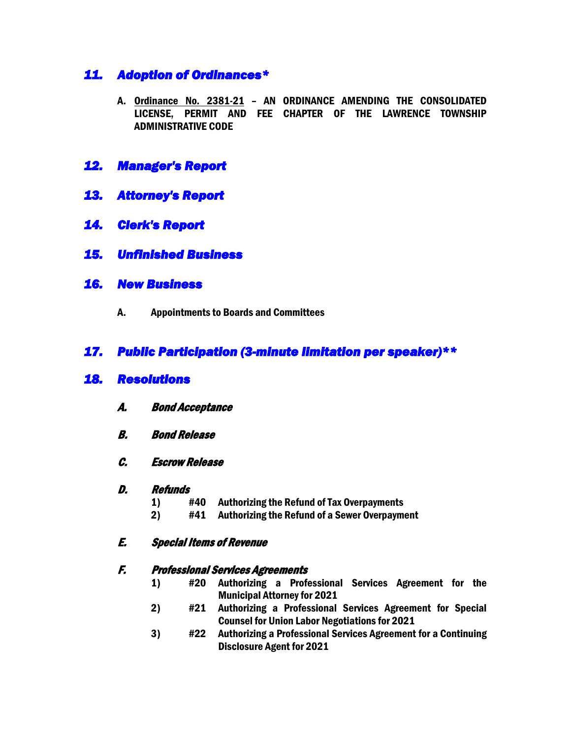# *11. Adoption of Ordinances\**

- A. Ordinance No. 2381-21 AN ORDINANCE AMENDING THE CONSOLIDATED LICENSE, PERMIT AND FEE CHAPTER OF THE LAWRENCE TOWNSHIP ADMINISTRATIVE CODE
- *12. Manager's Report*
- *13. Attorney's Report*
- *14. Clerk's Report*
- *15. Unfinished Business*
- *16. New Business* 
	- A. Appointments to Boards and Committees

## *17. Public Participation (3-minute limitation per speaker)\*\**

### *18. Resolutions*

- A. Bond Acceptance
- B. Bond Release
- C. Escrow Release
- D. Refunds
	- 1) #40 Authorizing the Refund of Tax Overpayments
	- 2) #41 Authorizing the Refund of a Sewer Overpayment

#### E. Special Items of Revenue

#### F. Professional Services Agreements

- 1) #20 Authorizing a Professional Services Agreement for the Municipal Attorney for 2021
- 2) #21 Authorizing a Professional Services Agreement for Special Counsel for Union Labor Negotiations for 2021
- 3) #22 Authorizing a Professional Services Agreement for a Continuing Disclosure Agent for 2021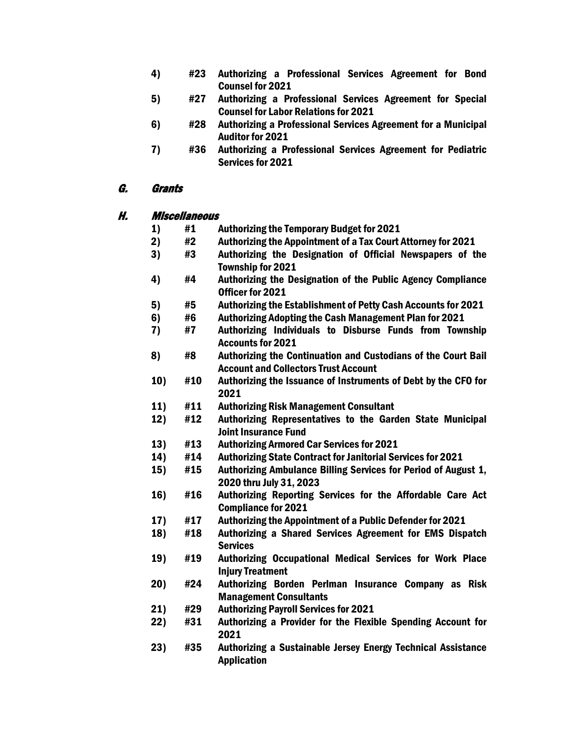- 4) #23 Authorizing a Professional Services Agreement for Bond Counsel for 2021
- 5) #27 Authorizing a Professional Services Agreement for Special Counsel for Labor Relations for 2021
- 6) #28 Authorizing a Professional Services Agreement for a Municipal Auditor for 2021
- 7) #36 Authorizing a Professional Services Agreement for Pediatric Services for 2021

### G. Grants

#### H. Miscellaneous

- 1) #1 Authorizing the Temporary Budget for 2021
- 2) #2 Authorizing the Appointment of a Tax Court Attorney for 2021
- 3) #3 Authorizing the Designation of Official Newspapers of the Township for 2021
- 4) #4 Authorizing the Designation of the Public Agency Compliance Officer for 2021
- 5) #5 Authorizing the Establishment of Petty Cash Accounts for 2021
- 6) #6 Authorizing Adopting the Cash Management Plan for 2021
- 7) #7 Authorizing Individuals to Disburse Funds from Township Accounts for 2021
- 8) #8 Authorizing the Continuation and Custodians of the Court Bail Account and Collectors Trust Account
- 10) #10 Authorizing the Issuance of Instruments of Debt by the CFO for 2021
- 11) #11 Authorizing Risk Management Consultant
- 12) #12 Authorizing Representatives to the Garden State Municipal Joint Insurance Fund
- 13) #13 Authorizing Armored Car Services for 2021
- 14) #14 Authorizing State Contract for Janitorial Services for 2021
- 15) #15 Authorizing Ambulance Billing Services for Period of August 1, 2020 thru July 31, 2023
- 16) #16 Authorizing Reporting Services for the Affordable Care Act Compliance for 2021
- 17) #17 Authorizing the Appointment of a Public Defender for 2021
- 18) #18 Authorizing a Shared Services Agreement for EMS Dispatch **Services**
- 19) #19 Authorizing Occupational Medical Services for Work Place Injury Treatment
- 20) #24 Authorizing Borden Perlman Insurance Company as Risk Management Consultants
- 21) #29 Authorizing Payroll Services for 2021
- 22) #31 Authorizing a Provider for the Flexible Spending Account for 2021
- 23) #35 Authorizing a Sustainable Jersey Energy Technical Assistance Application